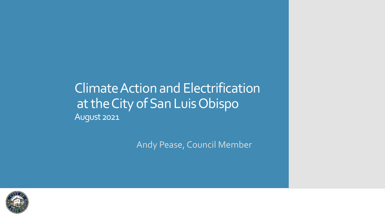### Climate Action and Electrification at the City of San Luis Obispo August 2021

Andy Pease, Council Member

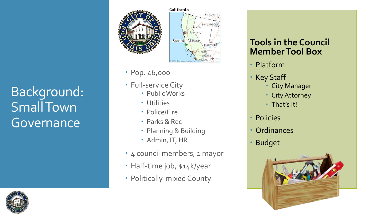





- Pop. 46,000
- Full-service City
	- Public Works
	- Utilities
	- Police/Fire
	- Parks & Rec
	- Planning & Building
	- Admin, IT, HR
- 4 council members, 1 mayor
- Half-time job, \$14k/year
- Politically-mixed County

### **Tools in the Council Member Tool Box**

- Platform
- Key Staff
	- City Manager
	- City Attorney
	- That's it!
- Policies
- Ordinances
- Budget



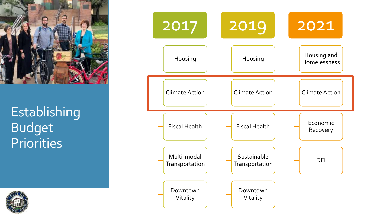

Establishing Budget **Priorities** 



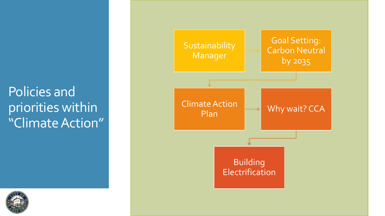## Policies and priorities within "Climate Action"



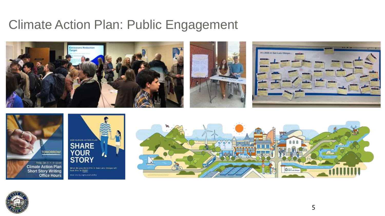### Climate Action Plan: Public Engagement







www.stephy.org/sustainability





5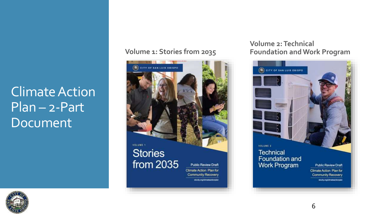## Climate Action Plan – 2-Part Document

#### **Volume 1: Stories from 2035**



#### **Volume 2: Technical Foundation and Work Program**



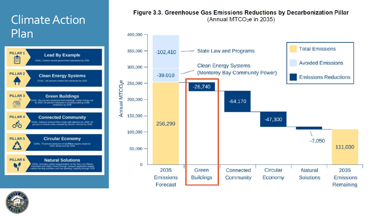### Climate Action Plan



#### Figure 3.3. Greenhouse Gas Emissions Reductions by Decarbonization Pillar (Annual MTCO<sub>2</sub>e in 2035)



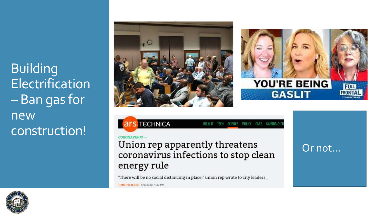Building **Electrification** – Ban gas for new construction!







BIZ & IT TECH SCIENCE POLICY CARS GAMING & CL

#### CORONAVIRUS-

### Union rep apparently threatens coronavirus infections to stop clean energy rule

"There will be no social distancing in place," union rep wrote to city leaders. TIMOTHY B. LEE - 5/6/2020, 1:49 PM

Or not…

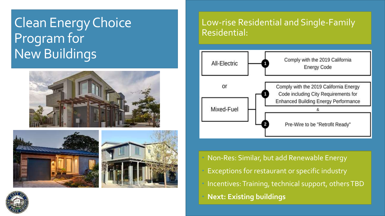## Clean Energy Choice Program for New Buildings







### Low-rise Residential and Single-Family Residential:



- Non-Res: Similar, but add Renewable Energy
- Exceptions for restaurant or specific industry
- · Incentives: Training, technical support, others TBD
- **Next: Existing buildings**